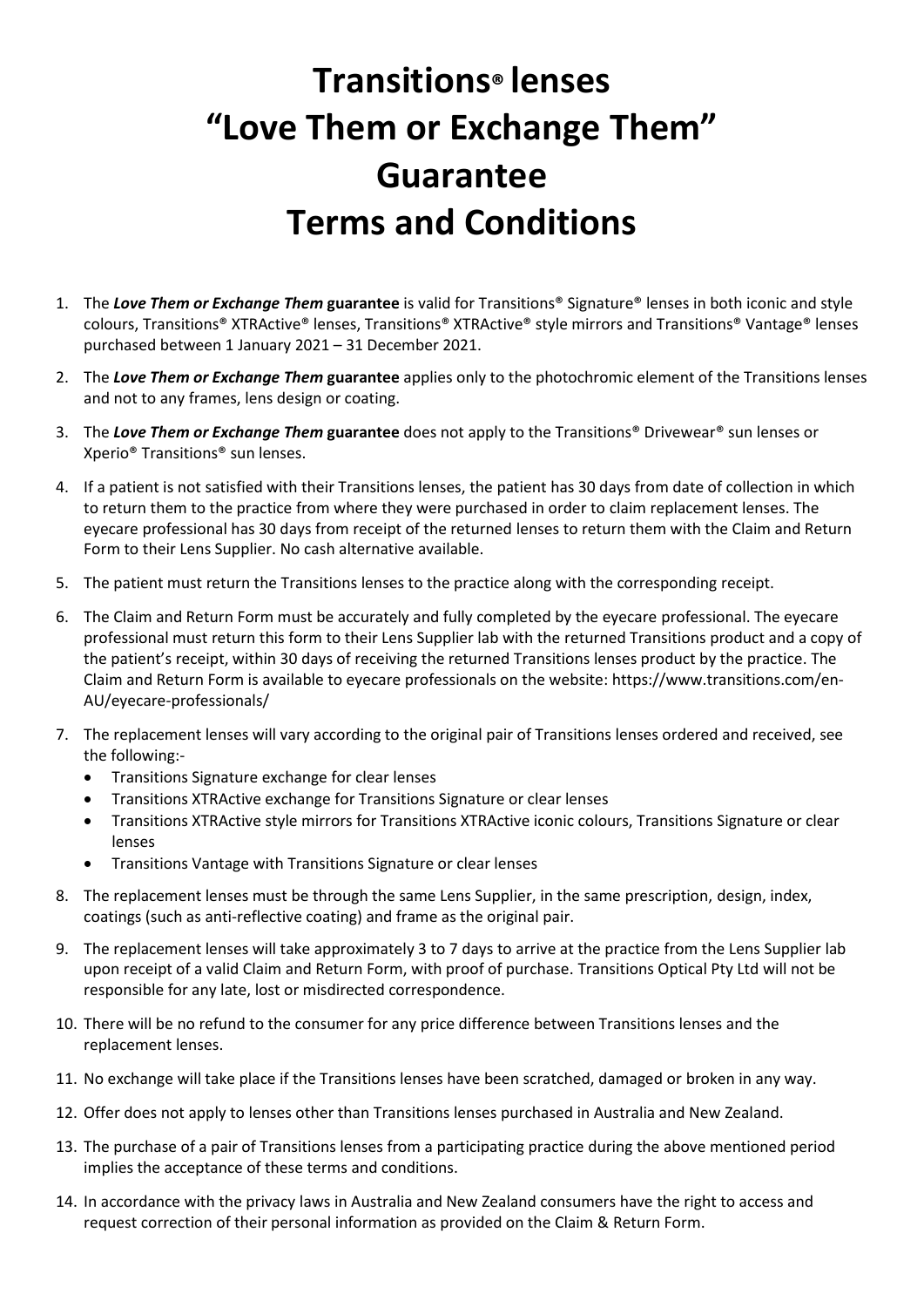## **Transitions® lenses "Love Them or Exchange Them" Guarantee Terms and Conditions**

- 1. The *Love Them or Exchange Them* **guarantee** is valid for Transitions® Signature® lenses in both iconic and style colours, Transitions® XTRActive® lenses, Transitions® XTRActive® style mirrors and Transitions® Vantage® lenses purchased between 1 January 2021 – 31 December 2021.
- 2. The *Love Them or Exchange Them* **guarantee** applies only to the photochromic element of the Transitions lenses and not to any frames, lens design or coating.
- 3. The *Love Them or Exchange Them* **guarantee** does not apply to the Transitions® Drivewear® sun lenses or Xperio® Transitions® sun lenses.
- 4. If a patient is not satisfied with their Transitions lenses, the patient has 30 days from date of collection in which to return them to the practice from where they were purchased in order to claim replacement lenses. The eyecare professional has 30 days from receipt of the returned lenses to return them with the Claim and Return Form to their Lens Supplier. No cash alternative available.
- 5. The patient must return the Transitions lenses to the practice along with the corresponding receipt.
- 6. The Claim and Return Form must be accurately and fully completed by the eyecare professional. The eyecare professional must return this form to their Lens Supplier lab with the returned Transitions product and a copy of the patient's receipt, within 30 days of receiving the returned Transitions lenses product by the practice. The Claim and Return Form is available to eyecare professionals on the website: https://www.transitions.com/en-AU/eyecare-professionals/
- 7. The replacement lenses will vary according to the original pair of Transitions lenses ordered and received, see the following:-
	- Transitions Signature exchange for clear lenses
	- Transitions XTRActive exchange for Transitions Signature or clear lenses
	- Transitions XTRActive style mirrors for Transitions XTRActive iconic colours, Transitions Signature or clear lenses
	- Transitions Vantage with Transitions Signature or clear lenses
- 8. The replacement lenses must be through the same Lens Supplier, in the same prescription, design, index, coatings (such as anti-reflective coating) and frame as the original pair.
- 9. The replacement lenses will take approximately 3 to 7 days to arrive at the practice from the Lens Supplier lab upon receipt of a valid Claim and Return Form, with proof of purchase. Transitions Optical Pty Ltd will not be responsible for any late, lost or misdirected correspondence.
- 10. There will be no refund to the consumer for any price difference between Transitions lenses and the replacement lenses.
- 11. No exchange will take place if the Transitions lenses have been scratched, damaged or broken in any way.
- 12. Offer does not apply to lenses other than Transitions lenses purchased in Australia and New Zealand.
- 13. The purchase of a pair of Transitions lenses from a participating practice during the above mentioned period implies the acceptance of these terms and conditions.
- 14. In accordance with the privacy laws in Australia and New Zealand consumers have the right to access and request correction of their personal information as provided on the Claim & Return Form.